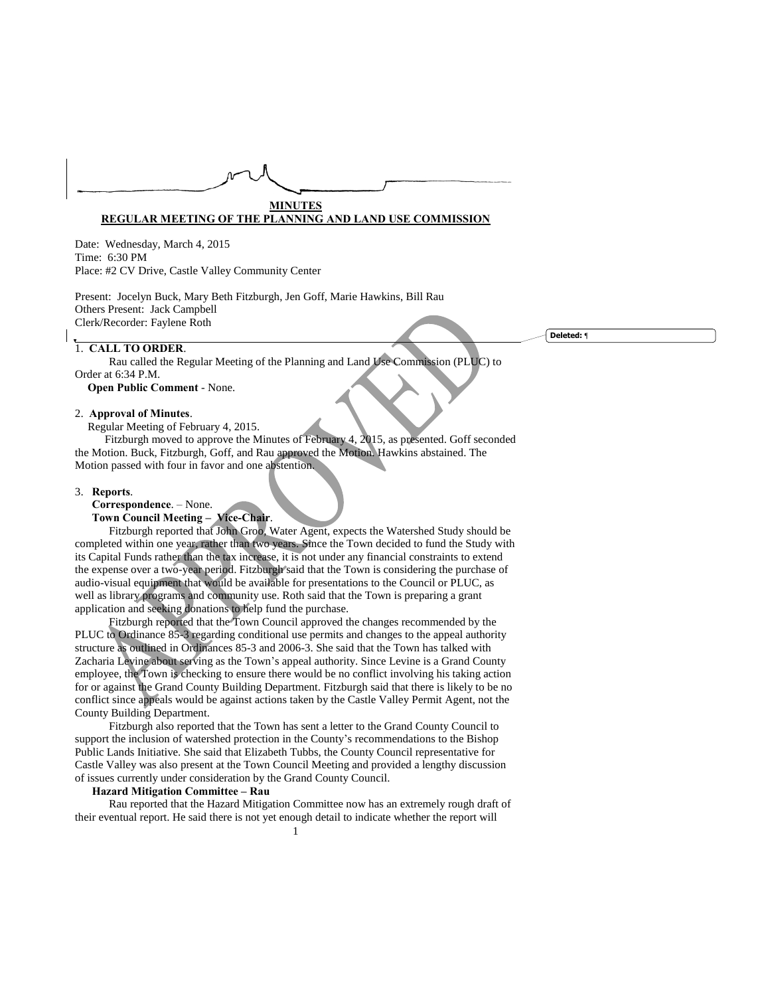# **MINUTES REGULAR MEETING OF THE PLANNING AND LAND USE COMMISSION**

Date: Wednesday, March 4, 2015 Time: 6:30 PM Place: #2 CV Drive, Castle Valley Community Center

Present: Jocelyn Buck, Mary Beth Fitzburgh, Jen Goff, Marie Hawkins, Bill Rau Others Present: Jack Campbell Clerk/Recorder: Faylene Roth

## 1. **CALL TO ORDER**.

Rau called the Regular Meeting of the Planning and Land Use Commission (PLUC) to Order at 6:34 P.M.

**Open Public Comment** - None.

# 2. **Approval of Minutes**.

Regular Meeting of February 4, 2015.

 Fitzburgh moved to approve the Minutes of February 4, 2015, as presented. Goff seconded the Motion. Buck, Fitzburgh, Goff, and Rau approved the Motion. Hawkins abstained. The Motion passed with four in favor and one abstention.

## 3. **Reports**.

**Correspondence**. – None.

# **Town Council Meeting – Vice-Chair**.

Fitzburgh reported that John Groo, Water Agent, expects the Watershed Study should be completed within one year, rather than two years. Since the Town decided to fund the Study with its Capital Funds rather than the tax increase, it is not under any financial constraints to extend the expense over a two-year period. Fitzburgh said that the Town is considering the purchase of audio-visual equipment that would be available for presentations to the Council or PLUC, as well as library programs and community use. Roth said that the Town is preparing a grant application and seeking donations to help fund the purchase.

Fitzburgh reported that the Town Council approved the changes recommended by the PLUC to Ordinance 85-3 regarding conditional use permits and changes to the appeal authority structure as outlined in Ordinances 85-3 and 2006-3. She said that the Town has talked with Zacharia Levine about serving as the Town's appeal authority. Since Levine is a Grand County employee, the Town is checking to ensure there would be no conflict involving his taking action for or against the Grand County Building Department. Fitzburgh said that there is likely to be no conflict since appeals would be against actions taken by the Castle Valley Permit Agent, not the County Building Department.

Fitzburgh also reported that the Town has sent a letter to the Grand County Council to support the inclusion of watershed protection in the County's recommendations to the Bishop Public Lands Initiative. She said that Elizabeth Tubbs, the County Council representative for Castle Valley was also present at the Town Council Meeting and provided a lengthy discussion of issues currently under consideration by the Grand County Council.

# **Hazard Mitigation Committee – Rau**

Rau reported that the Hazard Mitigation Committee now has an extremely rough draft of their eventual report. He said there is not yet enough detail to indicate whether the report will

**Deleted:** ¶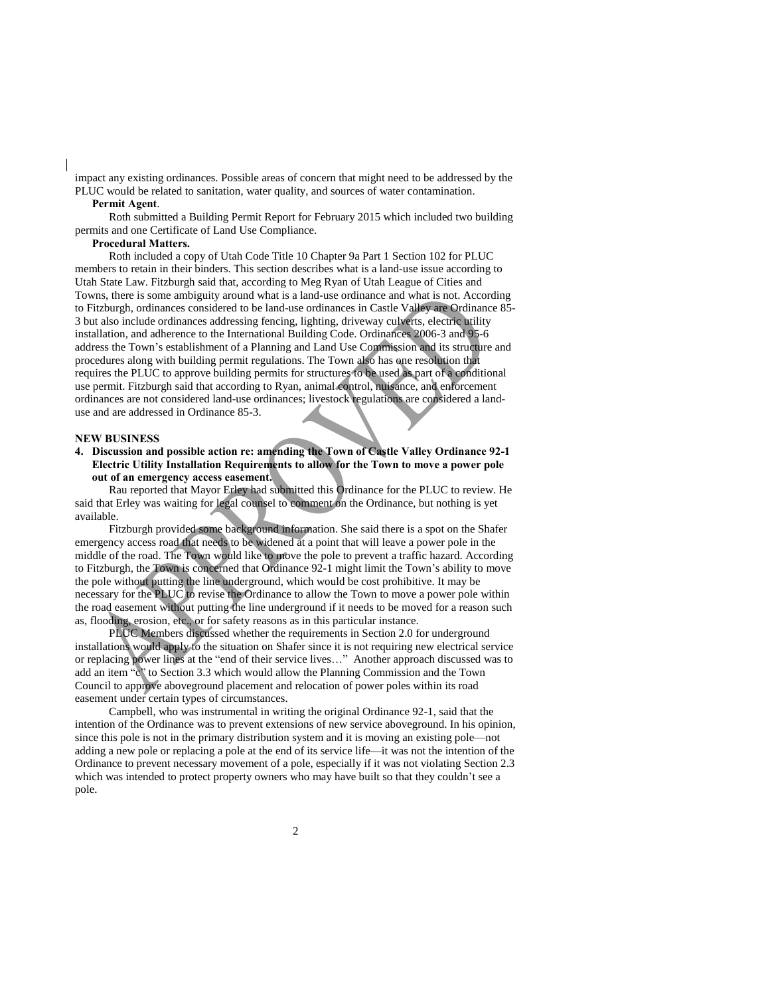impact any existing ordinances. Possible areas of concern that might need to be addressed by the PLUC would be related to sanitation, water quality, and sources of water contamination.

#### **Permit Agent**.

Roth submitted a Building Permit Report for February 2015 which included two building permits and one Certificate of Land Use Compliance.

### **Procedural Matters.**

Roth included a copy of Utah Code Title 10 Chapter 9a Part 1 Section 102 for PLUC members to retain in their binders. This section describes what is a land-use issue according to Utah State Law. Fitzburgh said that, according to Meg Ryan of Utah League of Cities and Towns, there is some ambiguity around what is a land-use ordinance and what is not. According to Fitzburgh, ordinances considered to be land-use ordinances in Castle Valley are Ordinance 85- 3 but also include ordinances addressing fencing, lighting, driveway culverts, electric utility installation, and adherence to the International Building Code. Ordinances 2006-3 and 95-6 address the Town's establishment of a Planning and Land Use Commission and its structure and procedures along with building permit regulations. The Town also has one resolution that requires the PLUC to approve building permits for structures to be used as part of a conditional use permit. Fitzburgh said that according to Ryan, animal control, nuisance, and enforcement ordinances are not considered land-use ordinances; livestock regulations are considered a landuse and are addressed in Ordinance 85-3.

# **NEW BUSINESS**

**4. Discussion and possible action re: amending the Town of Castle Valley Ordinance 92-1 Electric Utility Installation Requirements to allow for the Town to move a power pole out of an emergency access easement.**

Rau reported that Mayor Erley had submitted this Ordinance for the PLUC to review. He said that Erley was waiting for legal counsel to comment on the Ordinance, but nothing is yet available.

Fitzburgh provided some background information. She said there is a spot on the Shafer emergency access road that needs to be widened at a point that will leave a power pole in the middle of the road. The Town would like to move the pole to prevent a traffic hazard. According to Fitzburgh, the Town is concerned that Ordinance 92-1 might limit the Town's ability to move the pole without putting the line underground, which would be cost prohibitive. It may be necessary for the PLUC to revise the Ordinance to allow the Town to move a power pole within the road easement without putting the line underground if it needs to be moved for a reason such as, flooding, erosion, etc., or for safety reasons as in this particular instance.

PLUC Members discussed whether the requirements in Section 2.0 for underground installations would apply to the situation on Shafer since it is not requiring new electrical service or replacing power lines at the "end of their service lives…" Another approach discussed was to add an item " $c$ " to Section 3.3 which would allow the Planning Commission and the Town Council to approve aboveground placement and relocation of power poles within its road easement under certain types of circumstances.

Campbell, who was instrumental in writing the original Ordinance 92-1, said that the intention of the Ordinance was to prevent extensions of new service aboveground. In his opinion, since this pole is not in the primary distribution system and it is moving an existing pole—not adding a new pole or replacing a pole at the end of its service life—it was not the intention of the Ordinance to prevent necessary movement of a pole, especially if it was not violating Section 2.3 which was intended to protect property owners who may have built so that they couldn't see a pole.